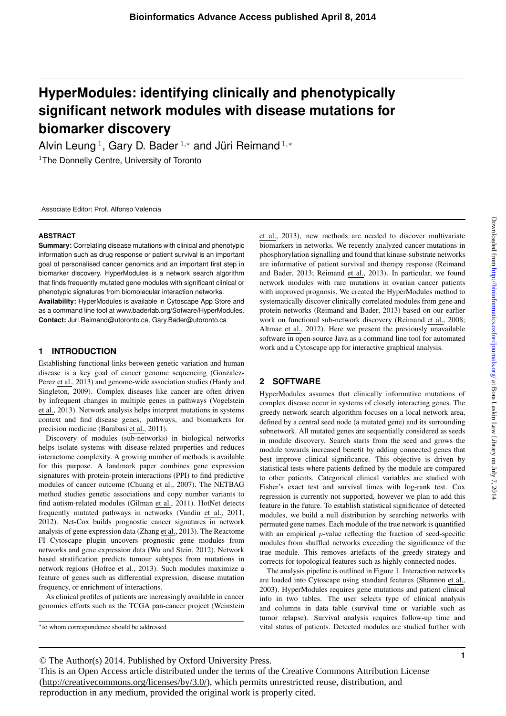# **HyperModules: identifying clinically and phenotypically significant network modules with disease mutations for biomarker discovery**

Alvin Leung<sup>1</sup>, Gary D. Bader<sup>1,\*</sup> and Jüri Reimand<sup>1,\*</sup> <sup>1</sup>The Donnelly Centre, University of Toronto

Associate Editor: Prof. Alfonso Valencia

#### **ABSTRACT**

**Summary:** Correlating disease mutations with clinical and phenotypic information such as drug response or patient survival is an important goal of personalised cancer genomics and an important first step in biomarker discovery. HyperModules is a network search algorithm that finds frequently mutated gene modules with significant clinical or phenotypic signatures from biomolecular interaction networks.

**Availability:** HyperModules is available in Cytoscape App Store and as a command line tool at www.baderlab.org/Sofware/HyperModules. **Contact:** Juri.Reimand@utoronto.ca, Gary.Bader@utoronto.ca

### **1 INTRODUCTION**

Establishing functional links between genetic variation and human disease is a key goal of cancer genome sequencing (Gonzalez-Perez et al., 2013) and genome-wide association studies (Hardy and Singleton, 2009). Complex diseases like cancer are often driven by infrequent changes in multiple genes in pathways (Vogelstein et al., 2013). Network analysis helps interpret mutations in systems context and find disease genes, pathways, and biomarkers for precision medicine (Barabasi et al., 2011).

Discovery of modules (sub-networks) in biological networks helps isolate systems with disease-related properties and reduces interactome complexity. A growing number of methods is available for this purpose. A landmark paper combines gene expression signatures with protein-protein interactions (PPI) to find predictive modules of cancer outcome (Chuang et al., 2007). The NETBAG method studies genetic associations and copy number variants to find autism-related modules (Gilman et al., 2011). HotNet detects frequently mutated pathways in networks (Vandin et al., 2011, 2012). Net-Cox builds prognostic cancer signatures in network analysis of gene expression data (Zhang et al., 2013). The Reactome FI Cytoscape plugin uncovers prognostic gene modules from networks and gene expression data (Wu and Stein, 2012). Network based stratification predicts tumour subtypes from mutations in network regions (Hofree et al., 2013). Such modules maximize a feature of genes such as differential expression, disease mutation frequency, or enrichment of interactions.

As clinical profiles of patients are increasingly available in cancer genomics efforts such as the TCGA pan-cancer project (Weinstein

<sup>∗</sup>to whom correspondence should be addressed

et al., 2013), new methods are needed to discover multivariate biomarkers in networks. We recently analyzed cancer mutations in phosphorylation signalling and found that kinase-substrate networks are informative of patient survival and therapy response (Reimand and Bader, 2013; Reimand et al., 2013). In particular, we found network modules with rare mutations in ovarian cancer patients with improved prognosis. We created the HyperModules method to systematically discover clinically correlated modules from gene and protein networks (Reimand and Bader, 2013) based on our earlier work on functional sub-network discovery (Reimand et al., 2008; Altmae et al., 2012). Here we present the previously unavailable software in open-source Java as a command line tool for automated work and a Cytoscape app for interactive graphical analysis.

#### **2 SOFTWARE**

HyperModules assumes that clinically informative mutations of complex disease occur in systems of closely interacting genes. The greedy network search algorithm focuses on a local network area, defined by a central seed node (a mutated gene) and its surrounding subnetwork. All mutated genes are sequentially considered as seeds in module discovery. Search starts from the seed and grows the module towards increased benefit by adding connected genes that best improve clinical significance. This objective is driven by statistical tests where patients defined by the module are compared to other patients. Categorical clinical variables are studied with Fisher's exact test and survival times with log-rank test. Cox regression is currently not supported, however we plan to add this feature in the future. To establish statistical significance of detected modules, we build a null distribution by searching networks with permuted gene names. Each module of the true network is quantified with an empirical p-value reflecting the fraction of seed-specific modules from shuffled networks exceeding the significance of the true module. This removes artefacts of the greedy strategy and corrects for topological features such as highly connected nodes.

The analysis pipeline is outlined in Figure 1. Interaction networks are loaded into Cytoscape using standard features (Shannon et al., 2003). HyperModules requires gene mutations and patient clinical info in two tables. The user selects type of clinical analysis and columns in data table (survival time or variable such as tumor relapse). Survival analysis requires follow-up time and vital status of patients. Detected modules are studied further with

© The Author(s) 2014. Published by Oxford University Press.

This is an Open Access article distributed under the terms of the Creative Commons Attribution License (http://creativecommons.org/licenses/by/3.0/), which permits unrestricted reuse, distribution, and reproduction in any medium, provided the original work is properly cited.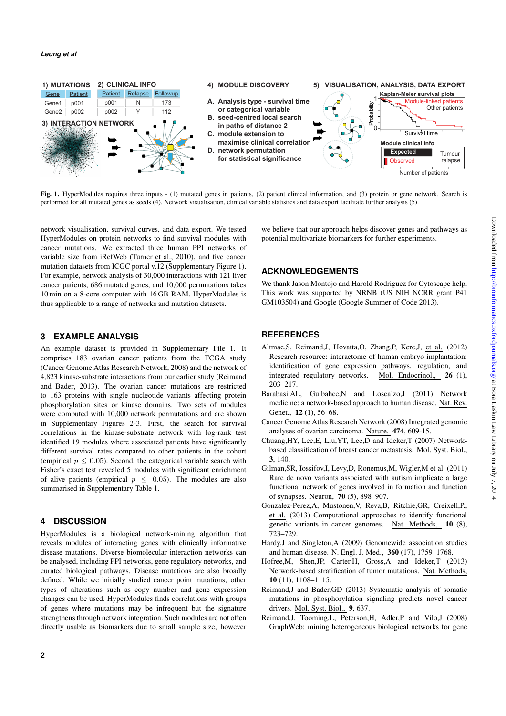

Fig. 1. HyperModules requires three inputs - (1) mutated genes in patients, (2) patient clinical information, and (3) protein or gene network. Search is performed for all mutated genes as seeds (4). Network visualisation, clinical variable statistics and data export facilitate further analysis (5).

network visualisation, survival curves, and data export. We tested HyperModules on protein networks to find survival modules with cancer mutations. We extracted three human PPI networks of variable size from iRefWeb (Turner et al., 2010), and five cancer mutation datasets from ICGC portal v.12 (Supplementary Figure 1). For example, network analysis of 30,000 interactions with 121 liver cancer patients, 686 mutated genes, and 10,000 permutations takes 10 min on a 8-core computer with 16 GB RAM. HyperModules is thus applicable to a range of networks and mutation datasets.

## **3 EXAMPLE ANALYSIS**

An example dataset is provided in Supplementary File 1. It comprises 183 ovarian cancer patients from the TCGA study (Cancer Genome Atlas Research Network, 2008) and the network of 4,823 kinase-substrate interactions from our earlier study (Reimand and Bader, 2013). The ovarian cancer mutations are restricted to 163 proteins with single nucleotide variants affecting protein phosphorylation sites or kinase domains. Two sets of modules were computed with 10,000 network permutations and are shown in Supplementary Figures 2-3. First, the search for survival correlations in the kinase-substrate network with log-rank test identified 19 modules where associated patients have significantly different survival rates compared to other patients in the cohort (empirical  $p \leq 0.05$ ). Second, the categorical variable search with Fisher's exact test revealed 5 modules with significant enrichment of alive patients (empirical  $p \leq 0.05$ ). The modules are also summarised in Supplementary Table 1.

## **4 DISCUSSION**

HyperModules is a biological network-mining algorithm that reveals modules of interacting genes with clinically informative disease mutations. Diverse biomolecular interaction networks can be analysed, including PPI networks, gene regulatory networks, and curated biological pathways. Disease mutations are also broadly defined. While we initially studied cancer point mutations, other types of alterations such as copy number and gene expression changes can be used. HyperModules finds correlations with groups of genes where mutations may be infrequent but the signature strengthens through network integration. Such modules are not often directly usable as biomarkers due to small sample size, however

we believe that our approach helps discover genes and pathways as potential multivariate biomarkers for further experiments.

# **ACKNOWLEDGEMENTS**

We thank Jason Montojo and Harold Rodriguez for Cytoscape help. This work was supported by NRNB (US NIH NCRR grant P41 GM103504) and Google (Google Summer of Code 2013).

## **REFERENCES**

- Altmae,S, Reimand,J, Hovatta,O, Zhang,P, Kere,J, et al. (2012) Research resource: interactome of human embryo implantation: identification of gene expression pathways, regulation, and integrated regulatory networks. Mol. Endocrinol., 26 (1), 203–217.
- Barabasi,AL, Gulbahce,N and Loscalzo,J (2011) Network medicine: a network-based approach to human disease. Nat. Rev. Genet., 12 (1), 56–68.
- Cancer Genome Atlas Research Network (2008) Integrated genomic analyses of ovarian carcinoma. Nature, 474, 609-15.
- Chuang,HY, Lee,E, Liu,YT, Lee,D and Ideker,T (2007) Networkbased classification of breast cancer metastasis. Mol. Syst. Biol., 3, 140.
- Gilman,SR, Iossifov,I, Levy,D, Ronemus,M, Wigler,M et al. (2011) Rare de novo variants associated with autism implicate a large functional network of genes involved in formation and function of synapses. Neuron, 70 (5), 898–907.
- Gonzalez-Perez,A, Mustonen,V, Reva,B, Ritchie,GR, Creixell,P., et al. (2013) Computational approaches to identify functional genetic variants in cancer genomes. Nat. Methods, 10 (8), 723–729.
- Hardy,J and Singleton,A (2009) Genomewide association studies and human disease. N. Engl. J. Med., 360 (17), 1759–1768.
- Hofree,M, Shen,JP, Carter,H, Gross,A and Ideker,T (2013) Network-based stratification of tumor mutations. Nat. Methods, 10 (11), 1108–1115.
- Reimand,J and Bader,GD (2013) Systematic analysis of somatic mutations in phosphorylation signaling predicts novel cancer drivers. Mol. Syst. Biol., 9, 637.
- Reimand,J, Tooming,L, Peterson,H, Adler,P and Vilo,J (2008) GraphWeb: mining heterogeneous biological networks for gene